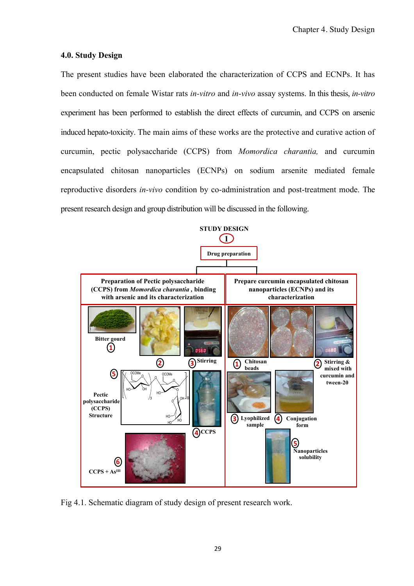## **4.0. Study Design**

The present studies have been elaborated the characterization of CCPS and ECNPs. It has been conducted on female Wistar rats *in-vitro* and *in-vivo* assay systems. In this thesis, *in-vitro* experiment has been performed to establish the direct effects of curcumin, and CCPS on arsenic induced hepato-toxicity. The main aims of these works are the protective and curative action of curcumin, pectic polysaccharide (CCPS) from *Momordica charantia,* and curcumin encapsulated chitosan nanoparticles (ECNPs) on sodium arsenite mediated female reproductive disorders *in-vivo* condition by co-administration and post-treatment mode. The present research design and group distribution will be discussed in the following.



Fig 4.1. Schematic diagram of study design of present research work.